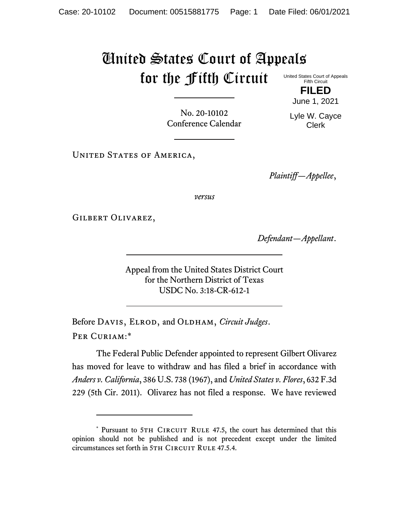## United States Court of Appeals for the Fifth Circuit

United States Court of Appeals Fifth Circuit **FILED**

June 1, 2021

No. 20-10102 Conference Calendar Lyle W. Cayce Clerk

UNITED STATES OF AMERICA,

*Plaintiff—Appellee*,

*versus*

Gilbert Olivarez,

*Defendant—Appellant*.

Appeal from the United States District Court for the Northern District of Texas USDC No. 3:18-CR-612-1

Before DAVIS, ELROD, and OLDHAM, *Circuit Judges*. Per Curiam:\*

The Federal Public Defender appointed to represent Gilbert Olivarez has moved for leave to withdraw and has filed a brief in accordance with *Anders v. California*, 386 U.S. 738 (1967), and *United States v. Flores*, 632 F.3d 229 (5th Cir. 2011). Olivarez has not filed a response. We have reviewed

<sup>\*</sup> Pursuant to 5TH CIRCUIT RULE 47.5, the court has determined that this opinion should not be published and is not precedent except under the limited circumstances set forth in 5TH CIRCUIT RULE 47.5.4.